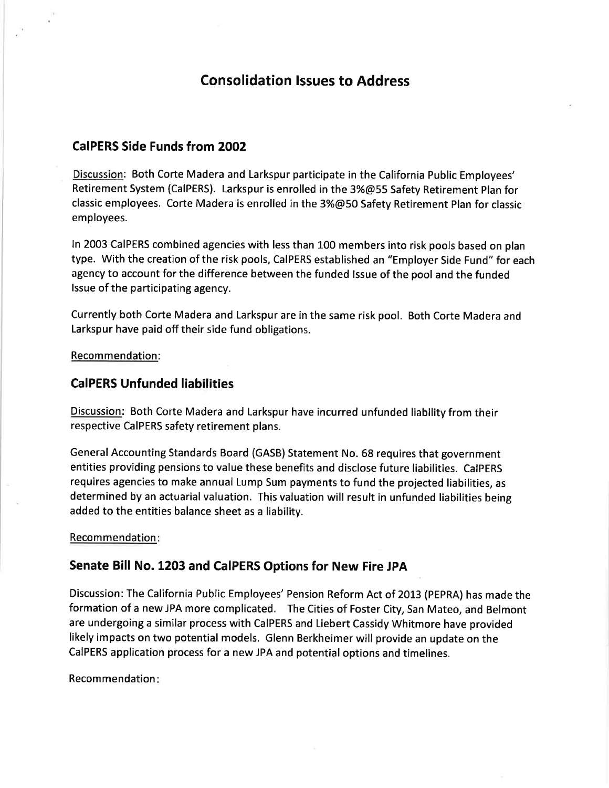# Consolidation lssues to Address

### CaIPERS Side Funds from 2OO2

Discussion: Both Corte Madera and Larkspur participate in the California Public Employees' Retirement System (CaIPERS). Larkspur is enrolled in the 3%@55 Safety Retirement Plan for classic employees. Corte Madera is enrolled in the 3%@50 Safety Retirement Plan for classic employees.

ln 2003 CaIPERS combined agencies with less than 100 members into risk pools based on plan type. With the creation of the risk pools, CaIPERS established an "Employer Side Fund" for each agency to account for the difference between the funded lssue of the pool and the funded lssue of the participating agency.

Currently both Corte Madera and Larkspur are in the same risk pool. Both Corte Madera and Larkspur have paid off their side fund obligations.

Recommendation:

### CaIPERS Unfunded liabilities

Discussion: Both Corte Madera and Larkspur have incurred unfunded liability from their respective CaIPERS safety retirement plans.

General Accounting Standards Board (GASB) Statement No. 68 requires that government entities providing pensions to value these benefits and disclose future liabilities. CaIPERS requires agencies to make annual Lump Sum payments to fund the projected liabilities, as determined by an actuarial valuation. This valuation will result in unfunded liabilities being added to the entities balance sheet as a liability.

#### Recommendation

### Senate Bill No. 1203 and CalPERS Options for New Fire JPA

Discussion: The California Public Employees' Pension Reform Act of 2013 (PEPRA) has made the formation of a new JPA more complicated. The Cities of Foster City, San Mateo, and Belmont are undergoing a similar process with CaIPERS and Liebert Cassidy Whitmore have provided likely impacts on two potential models. Glenn Berkheimer will provide an update on the CaIPERS application process for a new JPA and potential options and timelines.

Recommendation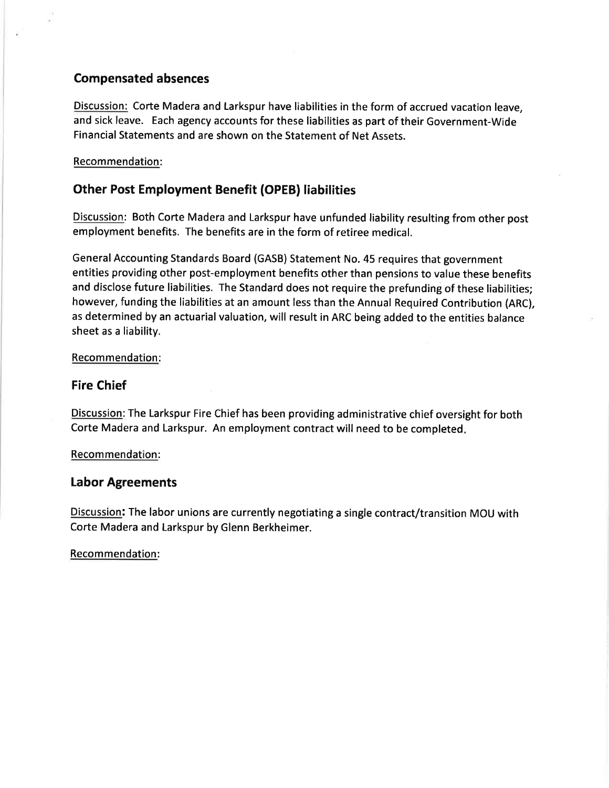### Compensated absences

Discussion: Corte Madera and Larkspur have liabilities in the form of accrued vacation leave, and sick leave. Each agency accounts for these liabilities as part of their Government-Wide Financial Statements and are shown on the Statement of Net Assets.

### Recommendation:

## Other Post Employment Benefit (OPEB) liabilities

Discussion: Both Corte Madera and Larkspur have unfunded liability resulting from other post employment benefits. The benefits are in the form of retiree medical.

General Accounting Standards Board (GASB) Statement No. 45 requires that government entities providing other post-employment benefits other than pensions to value these benefits and disclose future liabilities. The Standard does not require the prefunding of these liabilities; however, funding the liabilities at an amount less than the Annual Required Contribution (ARC), as determined by an actuarial valuation, will result in ARC being added to the entities balance sheet as a liability.

### Recommendation:

### Fire Chief

Discussion: The Larkspur Fire Chief has been providing administrative chief oversight for both Corte Madera and Larkspur. An employment contract will need to be completed

### Recommendation:

### Labor Agreements

Discussion: The labor unions are currently negotiating a single contract/transition MOU with Corte Madera and Larkspur by Glenn Berkheimer.

### Recommendation: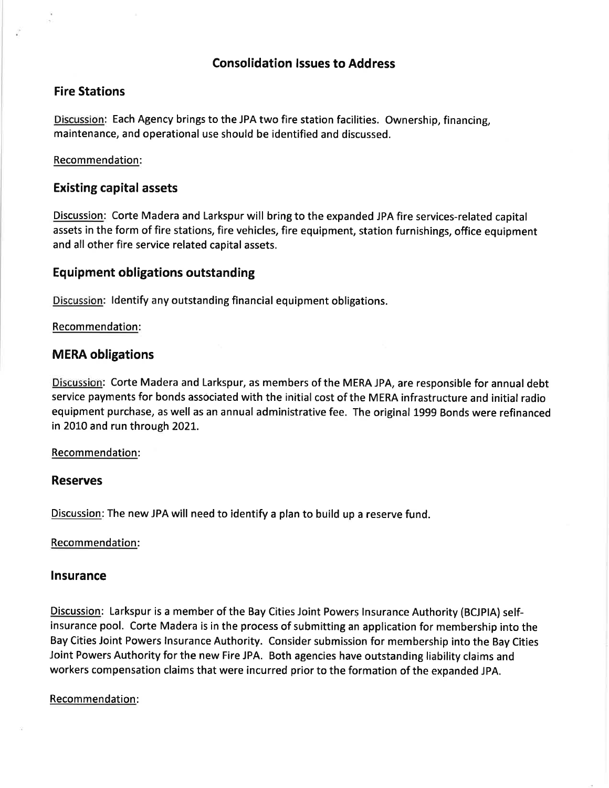### Consolidation lssues to Address

### Fire Stations

Discussion: Each Agency brings to the JPA two fire station facilities. Ownership, financing, maintenance, and operational use should be identified and discussed.

### Recommendation:

### Existing capital assets

Discussion: Corte Madera and Larkspur will bring to the expanded JPA fire services-related capital assets in the form of fire stations, fire vehicles, fire equipment, station furnishings, office equipment and all other fire service related capital assets.

### Equipment obligations outstanding

Discussion: ldentify any outstanding financial equipment obligations.

Recommendation:

## MERA obligations

Discussion: Corte Madera and Larkspur, as members of the MERA JPA, are responsible for annual debt service payments for bonds associated with the initial cost of the MERA infrastructure and initial radio equipment purchase, as well as an annual administrative fee. The original 1999 Bonds were refinanced in 2010 and run through 2021.

### Recommendation:

### Reserves

Discussion: The new JPA will need to identify a plan to build up a reserve fund.

### Recommendation:

### Insurance

Discussion: Larkspur is a member of the Bay Cities Joint Powers lnsurance Authority (BCJPIA) selfinsurance pool. Corte Madera is in the process of submitting an application for membership into the Bay Cities Joint Powers lnsurance Authority. Consider submission for membership into the Bay Cities Joint Powers Authority for the new Fire JPA. Both agencies have outstanding liability claims and workers compensation claims that were incurred prior to the formation of the expanded JPA.

### Recommendation: